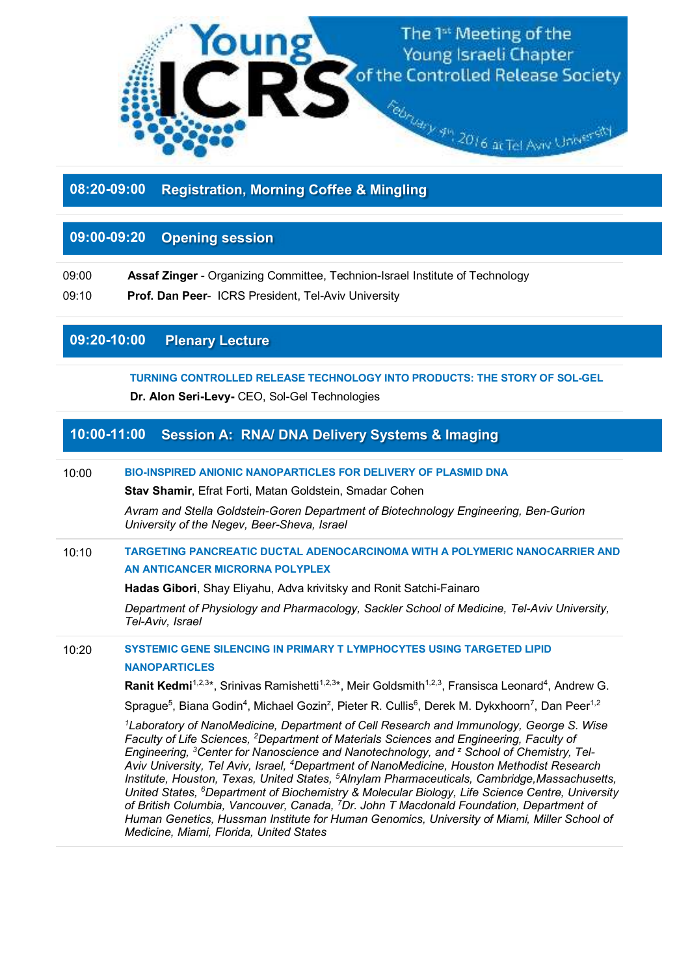

**08:20-09:00 Registration, Morning Coffee & Mingling**

# **09:00-09:20 Opening session**

09:00**Assaf Zinger** - Organizing Committee, Technion-Israel Institute of Technology

09:10**Prof. Dan Peer**- ICRS President, Tel-Aviv University

## **09:20-10:00 Plenary Lecture**

**TURNING CONTROLLED RELEASE TECHNOLOGY INTO PRODUCTS: THE STORY OF SOL-GEL** 

**Dr. Alon Seri-Levy-** CEO, Sol-Gel Technologies

# **10:00-11:00 Session A: RNA/ DNA Delivery Systems & Imaging**

### 10:00 **BIO-INSPIRED ANIONIC NANOPARTICLES FOR DELIVERY OF PLASMID DNA**

**Stav Shamir**, Efrat Forti, Matan Goldstein, Smadar Cohen

*Avram and Stella Goldstein-Goren Department of Biotechnology Engineering, Ben-Gurion University of the Negev, Beer-Sheva, Israel* 

## 10:10 **TARGETING PANCREATIC DUCTAL ADENOCARCINOMA WITH A POLYMERIC NANOCARRIER AND AN ANTICANCER MICRORNA POLYPLEX**

**Hadas Gibori**, Shay Eliyahu, Adva krivitsky and Ronit Satchi-Fainaro

*Department of Physiology and Pharmacology, Sackler School of Medicine, Tel-Aviv University, Tel-Aviv, Israel* 

10:20 **SYSTEMIC GENE SILENCING IN PRIMARY T LYMPHOCYTES USING TARGETED LIPID NANOPARTICLES** 

Ranit Kedmi<sup>1,2,3\*</sup>, Srinivas Ramishetti<sup>1,2,3\*</sup>, Meir Goldsmith<sup>1,2,3</sup>, Fransisca Leonard<sup>4</sup>, Andrew G.

Sprague<sup>5</sup>, Biana Godin<sup>4</sup>, Michael Gozin<sup>z</sup>, Pieter R. Cullis<sup>6</sup>, Derek M. Dykxhoorn<sup>7</sup>, Dan Peer<sup>1,2</sup>

*<sup>1</sup>Laboratory of NanoMedicine, Department of Cell Research and Immunology, George S. Wise Faculty of Life Sciences, <sup>2</sup>Department of Materials Sciences and Engineering, Faculty of Engineering, <sup>3</sup>Center for Nanoscience and Nanotechnology, and <sup>z</sup> School of Chemistry, Tel-Aviv University, Tel Aviv, Israel, <sup>4</sup>Department of NanoMedicine, Houston Methodist Research Institute, Houston, Texas, United States, <sup>5</sup>Alnylam Pharmaceuticals, Cambridge,Massachusetts, United States, <sup>6</sup>Department of Biochemistry & Molecular Biology, Life Science Centre, University of British Columbia, Vancouver, Canada, <sup>7</sup>Dr. John T Macdonald Foundation, Department of Human Genetics, Hussman Institute for Human Genomics, University of Miami, Miller School of Medicine, Miami, Florida, United States*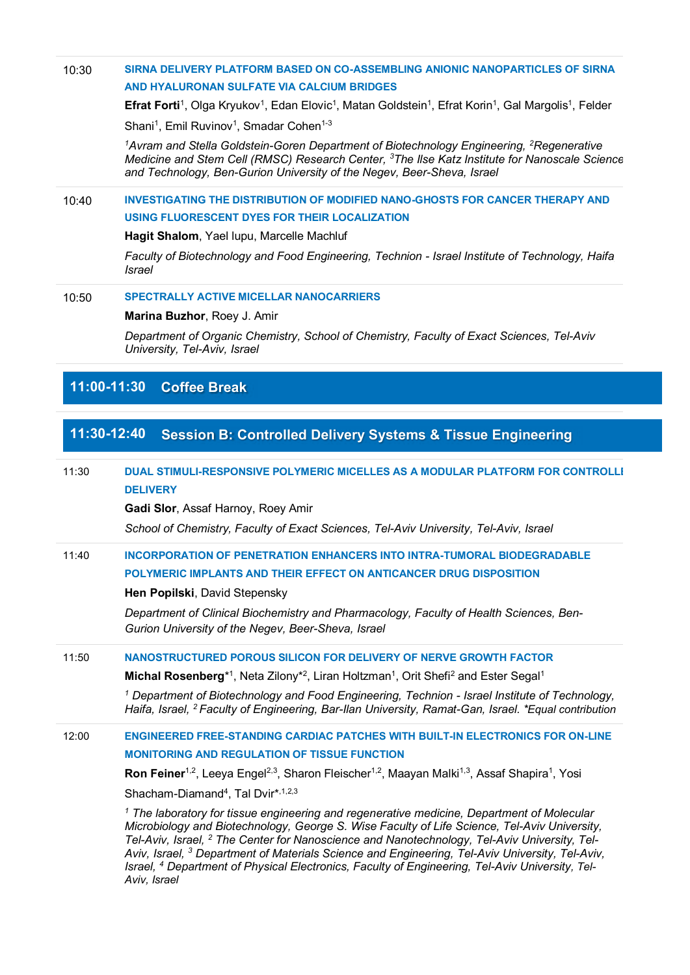## 10:30 **SIRNA DELIVERY PLATFORM BASED ON CO-ASSEMBLING ANIONIC NANOPARTICLES OF SIRNA AND HYALURONAN SULFATE VIA CALCIUM BRIDGES**

**Efrat Forti**<sup>1</sup>, Olga Kryukov<sup>1</sup>, Edan Elovic<sup>1</sup>, Matan Goldstein<sup>1</sup>, Efrat Korin<sup>1</sup>, Gal Margolis<sup>1</sup>, Felder

Shani<sup>1</sup>, Emil Ruvinov<sup>1</sup>, Smadar Cohen<sup>1-3</sup>

*1***Avram and Stella Goldstein-Goren Department of Biotechnology Engineering, <sup>2</sup>Regenerative** *Medicine and Stem Cell (RMSC) Research Center, <sup>3</sup>The Ilse Katz Institute for Nanoscale Science and Technology, Ben-Gurion University of the Negev, Beer-Sheva, Israel* 

### 10:40 **INVESTIGATING THE DISTRIBUTION OF MODIFIED NANO-GHOSTS FOR CANCER THERAPY AND USING FLUORESCENT DYES FOR THEIR LOCALIZATION**

**Hagit Shalom**, Yael lupu, Marcelle Machluf

*Faculty of Biotechnology and Food Engineering, Technion - Israel Institute of Technology, Haifa, Israel* 

#### 10:50 **SPECTRALLY ACTIVE MICELLAR NANOCARRIERS**

#### **Marina Buzhor**, Roey J. Amir

*Department of Organic Chemistry, School of Chemistry, Faculty of Exact Sciences, Tel-Aviv University, Tel-Aviv, Israel* 

## **11:00-11:30 Coffee Break**

## **11:30-12:40 Session B: Controlled Delivery Systems & Tissue Engineering**

## 11:30 **DUAL STIMULI-RESPONSIVE POLYMERIC MICELLES AS A MODULAR PLATFORM FOR CONTROLLED DELIVERY**

**Gadi Slor**, Assaf Harnoy, Roey Amir

*School of Chemistry, Faculty of Exact Sciences, Tel-Aviv University, Tel-Aviv, Israel*

## 11:40 **INCORPORATION OF PENETRATION ENHANCERS INTO INTRA-TUMORAL BIODEGRADABLE POLYMERIC IMPLANTS AND THEIR EFFECT ON ANTICANCER DRUG DISPOSITION**

### **Hen Popilski**, David Stepensky

*Department of Clinical Biochemistry and Pharmacology, Faculty of Health Sciences, Ben-Gurion University of the Negev, Beer-Sheva, Israel*

### 11:50 **NANOSTRUCTURED POROUS SILICON FOR DELIVERY OF NERVE GROWTH FACTOR**

Michal Rosenberg<sup>\*1</sup>, Neta Zilony<sup>\*2</sup>, Liran Holtzman<sup>1</sup>, Orit Shefi<sup>2</sup> and Ester Segal<sup>1</sup>

<sup>1</sup> Department of Biotechnology and Food Engineering, Technion - Israel Institute of Technology, *Haifa, Israel, <sup>2</sup>Faculty of Engineering, Bar-Ilan University, Ramat-Gan, Israel. \*Equal contribution*

### 12:00 **ENGINEERED FREE-STANDING CARDIAC PATCHES WITH BUILT-IN ELECTRONICS FOR ON-LINE MONITORING AND REGULATION OF TISSUE FUNCTION**

Ron Feiner<sup>1,2</sup>, Leeya Engel<sup>2,3</sup>, Sharon Fleischer<sup>1,2</sup>, Maayan Malki<sup>1,3</sup>, Assaf Shapira<sup>1</sup>, Yosi Shacham-Diamand<sup>4</sup>, Tal Dvir\*,<sup>1,2,3</sup>

<sup>1</sup> The laboratory for tissue engineering and regenerative medicine, Department of Molecular *Microbiology and Biotechnology, George S. Wise Faculty of Life Science, Tel-Aviv University,*  Tel-Aviv, Israel, <sup>2</sup> The Center for Nanoscience and Nanotechnology, Tel-Aviv University, Tel-Aviv, Israel, <sup>3</sup> Department of Materials Science and Engineering, Tel-Aviv University, Tel-Aviv, *Israel, 4 Department of Physical Electronics, Faculty of Engineering, Tel-Aviv University, Tel-Aviv, Israel*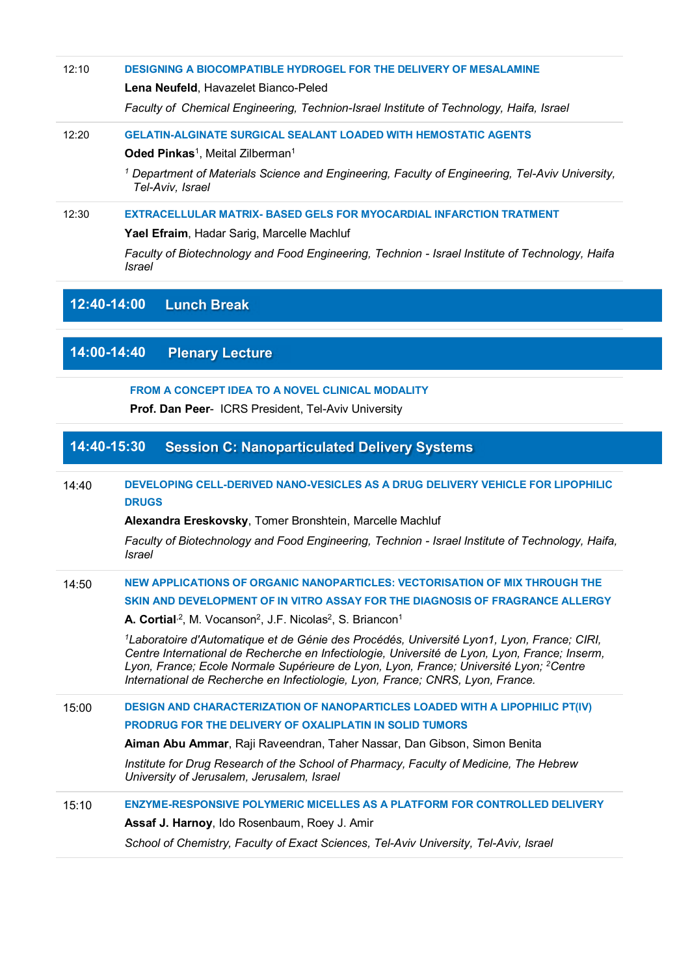#### 12:10 **DESIGNING A BIOCOMPATIBLE HYDROGEL FOR THE DELIVERY OF MESALAMINE**

#### **Lena Neufeld**, Havazelet Bianco-Peled

*Faculty of Chemical Engineering, Technion-Israel Institute of Technology, Haifa, Israel*

### 12:20 **GELATIN-ALGINATE SURGICAL SEALANT LOADED WITH HEMOSTATIC AGENTS**

**Oded Pinkas<sup>1</sup>**, Meital Zilberman<sup>1</sup>

*1 Department of Materials Science and Engineering, Faculty of Engineering, Tel-Aviv University, Tel-Aviv, Israel* 

#### 12:30 **EXTRACELLULAR MATRIX- BASED GELS FOR MYOCARDIAL INFARCTION TRATMENT**

#### **Yael Efraim**, Hadar Sarig, Marcelle Machluf

*Faculty of Biotechnology and Food Engineering, Technion - Israel Institute of Technology, Haifa, Israel*

## **12:40-14:00 Lunch Break**

# **14:00-14:40 Plenary Lecture**

### **FROM A CONCEPT IDEA TO A NOVEL CLINICAL MODALITY**

**Prof. Dan Peer**- ICRS President, Tel-Aviv University

# **14:40-15:30 Session C: Nanoparticulated Delivery Systems**

## 14:40 **DEVELOPING CELL-DERIVED NANO-VESICLES AS A DRUG DELIVERY VEHICLE FOR LIPOPHILIC DRUGS**

**Alexandra Ereskovsky**, Tomer Bronshtein, Marcelle Machluf

*Faculty of Biotechnology and Food Engineering, Technion - Israel Institute of Technology, Haifa, Israel*

## 14:50 **NEW APPLICATIONS OF ORGANIC NANOPARTICLES: VECTORISATION OF MIX THROUGH THE SKIN AND DEVELOPMENT OF IN VITRO ASSAY FOR THE DIAGNOSIS OF FRAGRANCE ALLERGY**

**A. Cortial**<sup>,2</sup>, M. Vocanson<sup>2</sup>, J.F. Nicolas<sup>2</sup>, S. Briancon<sup>1</sup>

*<sup>1</sup>Laboratoire d'Automatique et de Génie des Procédés, Université Lyon1, Lyon, France; CIRI, Centre International de Recherche en Infectiologie, Université de Lyon, Lyon, France; Inserm, Lyon, France; Ecole Normale Supérieure de Lyon, Lyon, France; Université Lyon; <sup>2</sup>Centre International de Recherche en Infectiologie, Lyon, France; CNRS, Lyon, France.* 

### 15:00 **DESIGN AND CHARACTERIZATION OF NANOPARTICLES LOADED WITH A LIPOPHILIC PT(IV) PRODRUG FOR THE DELIVERY OF OXALIPLATIN IN SOLID TUMORS**

**Aiman Abu Ammar**, Raji Raveendran, Taher Nassar, Dan Gibson, Simon Benita

*Institute for Drug Research of the School of Pharmacy, Faculty of Medicine, The Hebrew University of Jerusalem, Jerusalem, Israel* 

## 15:10 **ENZYME-RESPONSIVE POLYMERIC MICELLES AS A PLATFORM FOR CONTROLLED DELIVERY Assaf J. Harnoy**, Ido Rosenbaum, Roey J. Amir

*School of Chemistry, Faculty of Exact Sciences, Tel-Aviv University, Tel-Aviv, Israel*